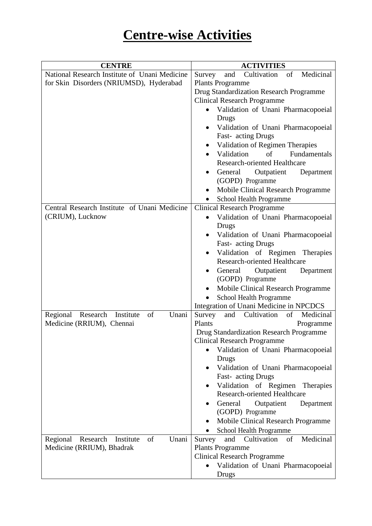## **Centre-wise Activities**

| <b>CENTRE</b>                                    | <b>ACTIVITIES</b>                                       |
|--------------------------------------------------|---------------------------------------------------------|
| National Research Institute of Unani Medicine    | Cultivation<br>and<br>of<br>Medicinal<br>Survey         |
| for Skin Disorders (NRIUMSD), Hyderabad          | <b>Plants Programme</b>                                 |
|                                                  | Drug Standardization Research Programme                 |
|                                                  | <b>Clinical Research Programme</b>                      |
|                                                  | Validation of Unani Pharmacopoeial                      |
|                                                  | Drugs                                                   |
|                                                  | Validation of Unani Pharmacopoeial                      |
|                                                  | Fast-acting Drugs                                       |
|                                                  | Validation of Regimen Therapies                         |
|                                                  | Validation<br>Fundamentals<br>of                        |
|                                                  | <b>Research-oriented Healthcare</b>                     |
|                                                  | General<br>Outpatient<br>Department                     |
|                                                  | (GOPD) Programme                                        |
|                                                  | Mobile Clinical Research Programme<br>$\bullet$         |
|                                                  | School Health Programme                                 |
| Central Research Institute of Unani Medicine     | <b>Clinical Research Programme</b>                      |
| (CRIUM), Lucknow                                 | Validation of Unani Pharmacopoeial<br>$\bullet$         |
|                                                  | Drugs                                                   |
|                                                  | Validation of Unani Pharmacopoeial<br>٠                 |
|                                                  | Fast-acting Drugs<br>Validation of Regimen Therapies    |
|                                                  | <b>Research-oriented Healthcare</b>                     |
|                                                  | Outpatient<br>General<br>Department                     |
|                                                  | (GOPD) Programme                                        |
|                                                  | Mobile Clinical Research Programme                      |
|                                                  | School Health Programme                                 |
|                                                  | Integration of Unani Medicine in NPCDCS                 |
| Unani<br>Regional Research<br>of<br>Institute    | Cultivation<br>of<br>Survey<br>and<br>Medicinal         |
| Medicine (RRIUM), Chennai                        | Plants<br>Programme                                     |
|                                                  | Drug Standardization Research Programme                 |
|                                                  | <b>Clinical Research Programme</b>                      |
|                                                  | Validation of Unani Pharmacopoeial                      |
|                                                  | Drugs                                                   |
|                                                  | Validation of Unani Pharmacopoeial                      |
|                                                  | Fast-acting Drugs                                       |
|                                                  | Validation of Regimen Therapies                         |
|                                                  | <b>Research-oriented Healthcare</b>                     |
|                                                  | General<br>Outpatient<br>Department<br>(GOPD) Programme |
|                                                  | Mobile Clinical Research Programme                      |
|                                                  | School Health Programme                                 |
| of<br>Unani<br>Regional<br>Research<br>Institute | Cultivation<br>of<br>Medicinal<br>and<br>Survey         |
| Medicine (RRIUM), Bhadrak                        | <b>Plants Programme</b>                                 |
|                                                  | <b>Clinical Research Programme</b>                      |
|                                                  | Validation of Unani Pharmacopoeial                      |
|                                                  | Drugs                                                   |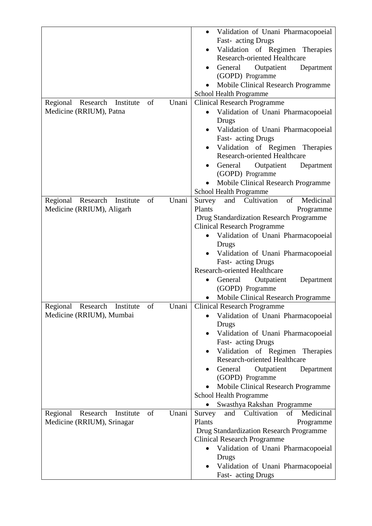|                                                  | Validation of Unani Pharmacopoeial              |
|--------------------------------------------------|-------------------------------------------------|
|                                                  | Fast-acting Drugs                               |
|                                                  | Validation of Regimen Therapies                 |
|                                                  | <b>Research-oriented Healthcare</b>             |
|                                                  | General Outpatient<br>Department<br>٠           |
|                                                  | (GOPD) Programme                                |
|                                                  | Mobile Clinical Research Programme              |
|                                                  | School Health Programme                         |
| Regional<br>Research<br>of<br>Unani<br>Institute | <b>Clinical Research Programme</b>              |
| Medicine (RRIUM), Patna                          | Validation of Unani Pharmacopoeial              |
|                                                  | Drugs                                           |
|                                                  | Validation of Unani Pharmacopoeial<br>$\bullet$ |
|                                                  | Fast- acting Drugs                              |
|                                                  | Validation of Regimen Therapies<br>٠            |
|                                                  | <b>Research-oriented Healthcare</b>             |
|                                                  | General Outpatient<br>Department<br>$\bullet$   |
|                                                  | (GOPD) Programme                                |
|                                                  | Mobile Clinical Research Programme              |
|                                                  | School Health Programme                         |
| Regional<br>Research<br>Unani<br>Institute<br>of | Medicinal<br>Cultivation<br>of<br>Survey<br>and |
| Medicine (RRIUM), Aligarh                        | Plants<br>Programme                             |
|                                                  | Drug Standardization Research Programme         |
|                                                  | <b>Clinical Research Programme</b>              |
|                                                  | Validation of Unani Pharmacopoeial<br>$\bullet$ |
|                                                  | Drugs                                           |
|                                                  | Validation of Unani Pharmacopoeial<br>$\bullet$ |
|                                                  | Fast- acting Drugs                              |
|                                                  | <b>Research-oriented Healthcare</b>             |
|                                                  | Outpatient<br>Department<br>General<br>٠        |
|                                                  | (GOPD) Programme                                |
|                                                  | <b>Mobile Clinical Research Programme</b>       |
| Regional Research Institute of<br>Unani          | <b>Clinical Research Programme</b>              |
| Medicine (RRIUM), Mumbai                         | Validation of Unani Pharmacopoeial              |
|                                                  | Drugs                                           |
|                                                  | Validation of Unani Pharmacopoeial<br>$\bullet$ |
|                                                  | Fast-acting Drugs                               |
|                                                  | Validation of Regimen Therapies<br>$\bullet$    |
|                                                  | Research-oriented Healthcare                    |
|                                                  | General<br>Outpatient<br>Department             |
|                                                  | (GOPD) Programme                                |
|                                                  | Mobile Clinical Research Programme              |
|                                                  | School Health Programme                         |
|                                                  | Swasthya Rakshan Programme                      |
| Unani<br>Research<br>of<br>Regional<br>Institute | of<br>Medicinal<br>and Cultivation<br>Survey    |
| Medicine (RRIUM), Srinagar                       | Plants<br>Programme                             |
|                                                  | Drug Standardization Research Programme         |
|                                                  | <b>Clinical Research Programme</b>              |
|                                                  | Validation of Unani Pharmacopoeial              |
|                                                  | Drugs                                           |
|                                                  | Validation of Unani Pharmacopoeial              |
|                                                  | Fast-acting Drugs                               |
|                                                  |                                                 |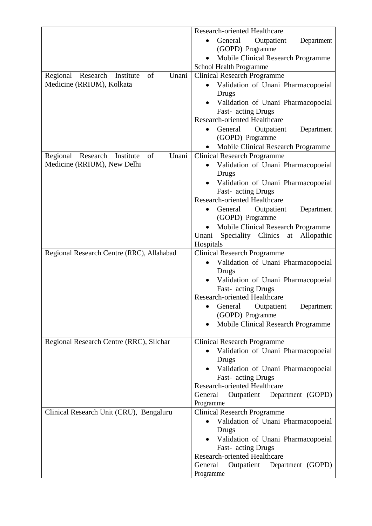|                                                  | <b>Research-oriented Healthcare</b>                                      |
|--------------------------------------------------|--------------------------------------------------------------------------|
|                                                  | General Outpatient<br>Department<br>$\bullet$                            |
|                                                  | (GOPD) Programme                                                         |
|                                                  | Mobile Clinical Research Programme<br>School Health Programme            |
| Unani<br>Regional Research Institute<br>of       | <b>Clinical Research Programme</b>                                       |
| Medicine (RRIUM), Kolkata                        | Validation of Unani Pharmacopoeial<br>$\bullet$                          |
|                                                  | Drugs                                                                    |
|                                                  | • Validation of Unani Pharmacopoeial                                     |
|                                                  | Fast-acting Drugs<br><b>Research-oriented Healthcare</b>                 |
|                                                  | General<br>Outpatient<br>Department<br>٠                                 |
|                                                  | (GOPD) Programme                                                         |
|                                                  | Mobile Clinical Research Programme                                       |
| Unani<br>Regional<br>Research<br>of<br>Institute | <b>Clinical Research Programme</b>                                       |
| Medicine (RRIUM), New Delhi                      | Validation of Unani Pharmacopoeial                                       |
|                                                  | Drugs                                                                    |
|                                                  | Validation of Unani Pharmacopoeial                                       |
|                                                  | Fast-acting Drugs<br><b>Research-oriented Healthcare</b>                 |
|                                                  | General Outpatient<br>Department<br>$\bullet$                            |
|                                                  | (GOPD) Programme                                                         |
|                                                  | Mobile Clinical Research Programme                                       |
|                                                  | Speciality Clinics<br>Allopathic<br>Unani<br>at                          |
|                                                  | Hospitals                                                                |
| Regional Research Centre (RRC), Allahabad        | <b>Clinical Research Programme</b><br>Validation of Unani Pharmacopoeial |
|                                                  | Drugs                                                                    |
|                                                  | Validation of Unani Pharmacopoeial                                       |
|                                                  | Fast-acting Drugs                                                        |
|                                                  | Research-oriented Healthcare                                             |
|                                                  | General Outpatient<br>Department                                         |
|                                                  | (GOPD) Programme<br>Mobile Clinical Research Programme                   |
|                                                  |                                                                          |
| Regional Research Centre (RRC), Silchar          | <b>Clinical Research Programme</b>                                       |
|                                                  | Validation of Unani Pharmacopoeial<br>$\bullet$                          |
|                                                  | Drugs                                                                    |
|                                                  | · Validation of Unani Pharmacopoeial<br>Fast-acting Drugs                |
|                                                  | <b>Research-oriented Healthcare</b>                                      |
|                                                  | Department (GOPD)<br>General<br>Outpatient                               |
|                                                  | Programme                                                                |
| Clinical Research Unit (CRU), Bengaluru          | <b>Clinical Research Programme</b>                                       |
|                                                  | Validation of Unani Pharmacopoeial                                       |
|                                                  | Drugs<br>Validation of Unani Pharmacopoeial                              |
|                                                  | Fast-acting Drugs                                                        |
|                                                  | Research-oriented Healthcare                                             |
|                                                  | General<br>Outpatient<br>Department (GOPD)                               |
|                                                  | Programme                                                                |